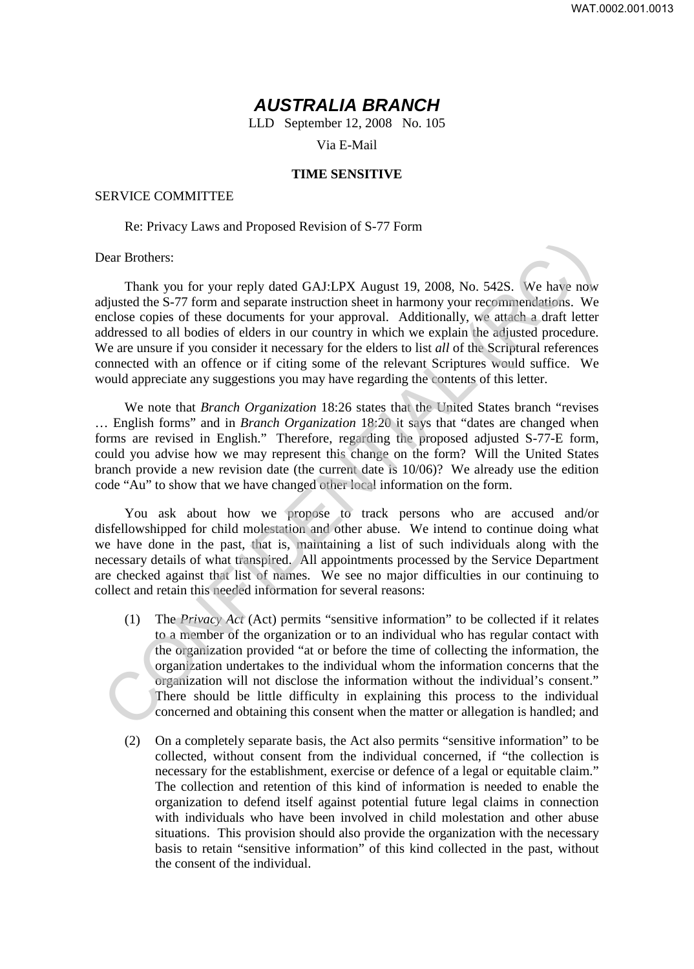## *AUSTRALIA BRANCH*

LLD September 12, 2008 No. 105

Via E-Mail

## **TIME SENSITIVE**

## SERVICE COMMITTEE

## Re: Privacy Laws and Proposed Revision of S-77 Form

Dear Brothers:

Thank you for your reply dated GAJ:LPX August 19, 2008, No. 542S. We have now adjusted the S-77 form and separate instruction sheet in harmony your recommendations. We enclose copies of these documents for your approval. Additionally, we attach a draft letter addressed to all bodies of elders in our country in which we explain the adjusted procedure. We are unsure if you consider it necessary for the elders to list *all* of the Scriptural references connected with an offence or if citing some of the relevant Scriptures would suffice. We would appreciate any suggestions you may have regarding the contents of this letter. Dear Brothers:<br>
Thank you for your reply dated GAJ:LPX August 19, 2008, No. 542S. We have now<br>
djusted the S-77 form and separate instruction sheet in harmony your recommendations. We<br>
reduces copies of these documents fo

We note that *Branch Organization* 18:26 states that the United States branch "revises … English forms" and in *Branch Organization* 18:20 it says that "dates are changed when forms are revised in English." Therefore, regarding the proposed adjusted S-77-E form, could you advise how we may represent this change on the form? Will the United States branch provide a new revision date (the current date is 10/06)? We already use the edition code "Au" to show that we have changed other local information on the form.

You ask about how we propose to track persons who are accused and/or disfellowshipped for child molestation and other abuse. We intend to continue doing what we have done in the past, that is, maintaining a list of such individuals along with the necessary details of what transpired. All appointments processed by the Service Department are checked against that list of names. We see no major difficulties in our continuing to collect and retain this needed information for several reasons:

- (1) The *Privacy Act* (Act) permits "sensitive information" to be collected if it relates to a member of the organization or to an individual who has regular contact with the organization provided "at or before the time of collecting the information, the organization undertakes to the individual whom the information concerns that the organization will not disclose the information without the individual's consent." There should be little difficulty in explaining this process to the individual concerned and obtaining this consent when the matter or allegation is handled; and
- (2) On a completely separate basis, the Act also permits "sensitive information" to be collected, without consent from the individual concerned, if "the collection is necessary for the establishment, exercise or defence of a legal or equitable claim." The collection and retention of this kind of information is needed to enable the organization to defend itself against potential future legal claims in connection with individuals who have been involved in child molestation and other abuse situations. This provision should also provide the organization with the necessary basis to retain "sensitive information" of this kind collected in the past, without the consent of the individual.